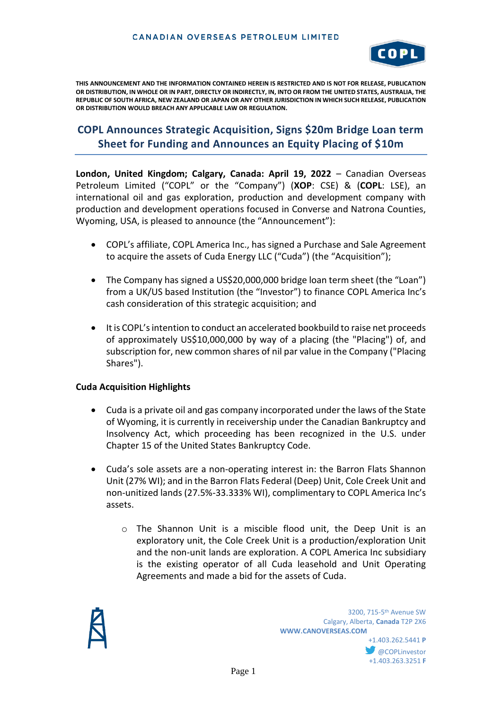

**THIS ANNOUNCEMENT AND THE INFORMATION CONTAINED HEREIN IS RESTRICTED AND IS NOT FOR RELEASE, PUBLICATION OR DISTRIBUTION, IN WHOLE OR IN PART, DIRECTLY OR INDIRECTLY, IN, INTO OR FROM THE UNITED STATES, AUSTRALIA, THE REPUBLIC OF SOUTH AFRICA, NEW ZEALAND OR JAPAN OR ANY OTHER JURISDICTION IN WHICH SUCH RELEASE, PUBLICATION OR DISTRIBUTION WOULD BREACH ANY APPLICABLE LAW OR REGULATION.**

# **COPL Announces Strategic Acquisition, Signs \$20m Bridge Loan term Sheet for Funding and Announces an Equity Placing of \$10m**

**London, United Kingdom; Calgary, Canada: April 19, 2022** – Canadian Overseas Petroleum Limited ("COPL" or the "Company") (**XOP**: CSE) & (**COPL**: LSE), an international oil and gas exploration, production and development company with production and development operations focused in Converse and Natrona Counties, Wyoming, USA, is pleased to announce (the "Announcement"):

- COPL's affiliate, COPL America Inc., has signed a Purchase and Sale Agreement to acquire the assets of Cuda Energy LLC ("Cuda") (the "Acquisition");
- The Company has signed a US\$20,000,000 bridge loan term sheet (the "Loan") from a UK/US based Institution (the "Investor") to finance COPL America Inc's cash consideration of this strategic acquisition; and
- It is COPL'sintention to conduct an accelerated bookbuild to raise net proceeds of approximately US\$10,000,000 by way of a placing (the "Placing") of, and subscription for, new common shares of nil par value in the Company ("Placing Shares").

### **Cuda Acquisition Highlights**

- Cuda is a private oil and gas company incorporated under the laws of the State of Wyoming, it is currently in receivership under the Canadian Bankruptcy and Insolvency Act, which proceeding has been recognized in the U.S. under Chapter 15 of the United States Bankruptcy Code.
- Cuda's sole assets are a non-operating interest in: the Barron Flats Shannon Unit (27% WI); and in the Barron Flats Federal (Deep) Unit, Cole Creek Unit and non-unitized lands (27.5%-33.333% WI), complimentary to COPL America Inc's assets.
	- o The Shannon Unit is a miscible flood unit, the Deep Unit is an exploratory unit, the Cole Creek Unit is a production/exploration Unit and the non-unit lands are exploration. A COPL America Inc subsidiary is the existing operator of all Cuda leasehold and Unit Operating Agreements and made a bid for the assets of Cuda.

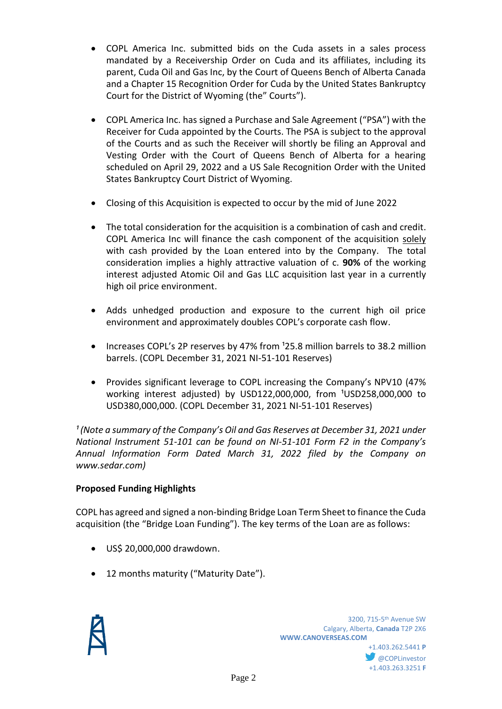- COPL America Inc. submitted bids on the Cuda assets in a sales process mandated by a Receivership Order on Cuda and its affiliates, including its parent, Cuda Oil and Gas Inc, by the Court of Queens Bench of Alberta Canada and a Chapter 15 Recognition Order for Cuda by the United States Bankruptcy Court for the District of Wyoming (the" Courts").
- COPL America Inc. has signed a Purchase and Sale Agreement ("PSA") with the Receiver for Cuda appointed by the Courts. The PSA is subject to the approval of the Courts and as such the Receiver will shortly be filing an Approval and Vesting Order with the Court of Queens Bench of Alberta for a hearing scheduled on April 29, 2022 and a US Sale Recognition Order with the United States Bankruptcy Court District of Wyoming.
- Closing of this Acquisition is expected to occur by the mid of June 2022
- The total consideration for the acquisition is a combination of cash and credit. COPL America Inc will finance the cash component of the acquisition solely with cash provided by the Loan entered into by the Company. The total consideration implies a highly attractive valuation of c. **90%** of the working interest adjusted Atomic Oil and Gas LLC acquisition last year in a currently high oil price environment.
- Adds unhedged production and exposure to the current high oil price environment and approximately doubles COPL's corporate cash flow.
- Increases COPL's 2P reserves by 47% from 125.8 million barrels to 38.2 million barrels. (COPL December 31, 2021 NI-51-101 Reserves)
- Provides significant leverage to COPL increasing the Company's NPV10 (47% working interest adjusted) by USD122,000,000, from <sup>1</sup>USD258,000,000 to USD380,000,000. (COPL December 31, 2021 NI-51-101 Reserves)

*¹ (Note a summary of the Company's Oil and Gas Reserves at December 31, 2021 under National Instrument 51-101 can be found on NI-51-101 Form F2 in the Company's Annual Information Form Dated March 31, 2022 filed by the Company on www.sedar.com)*

# **Proposed Funding Highlights**

COPL has agreed and signed a non-binding Bridge Loan Term Sheet to finance the Cuda acquisition (the "Bridge Loan Funding"). The key terms of the Loan are as follows:

- US\$ 20,000,000 drawdown.
- 12 months maturity ("Maturity Date").



 $3200, 715-5$ <sup>th</sup> Avenue SW Calgary, Alberta, **Canada** T2P 2X6 **WWW.CANOVERSEAS.COM** +1.403.262.5441 **P @COPLinvestor** +1.403.263.3251 **F**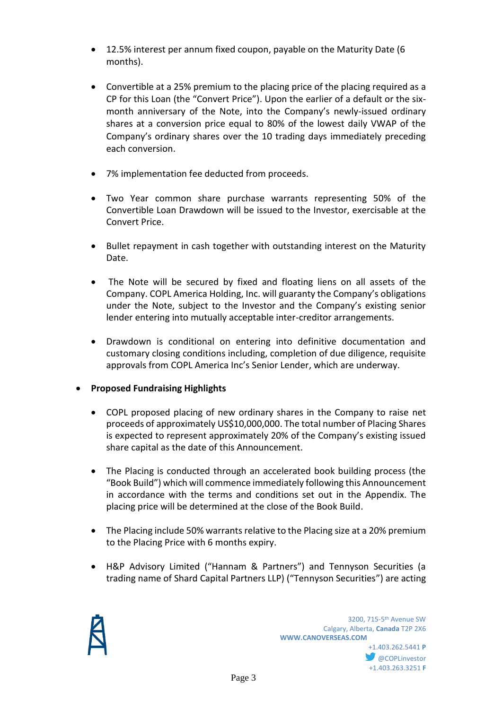- 12.5% interest per annum fixed coupon, payable on the Maturity Date (6 months).
- Convertible at a 25% premium to the placing price of the placing required as a CP for this Loan (the "Convert Price"). Upon the earlier of a default or the sixmonth anniversary of the Note, into the Company's newly-issued ordinary shares at a conversion price equal to 80% of the lowest daily VWAP of the Company's ordinary shares over the 10 trading days immediately preceding each conversion.
- 7% implementation fee deducted from proceeds.
- Two Year common share purchase warrants representing 50% of the Convertible Loan Drawdown will be issued to the Investor, exercisable at the Convert Price.
- Bullet repayment in cash together with outstanding interest on the Maturity Date.
- The Note will be secured by fixed and floating liens on all assets of the Company. COPL America Holding, Inc. will guaranty the Company's obligations under the Note, subject to the Investor and the Company's existing senior lender entering into mutually acceptable inter-creditor arrangements.
- Drawdown is conditional on entering into definitive documentation and customary closing conditions including, completion of due diligence, requisite approvals from COPL America Inc's Senior Lender, which are underway.

# • **Proposed Fundraising Highlights**

- COPL proposed placing of new ordinary shares in the Company to raise net proceeds of approximately US\$10,000,000. The total number of Placing Shares is expected to represent approximately 20% of the Company's existing issued share capital as the date of this Announcement.
- The Placing is conducted through an accelerated book building process (the "Book Build") which will commence immediately following this Announcement in accordance with the terms and conditions set out in the Appendix. The placing price will be determined at the close of the Book Build.
- The Placing include 50% warrants relative to the Placing size at a 20% premium to the Placing Price with 6 months expiry.
- H&P Advisory Limited ("Hannam & Partners") and Tennyson Securities (a trading name of Shard Capital Partners LLP) ("Tennyson Securities") are acting

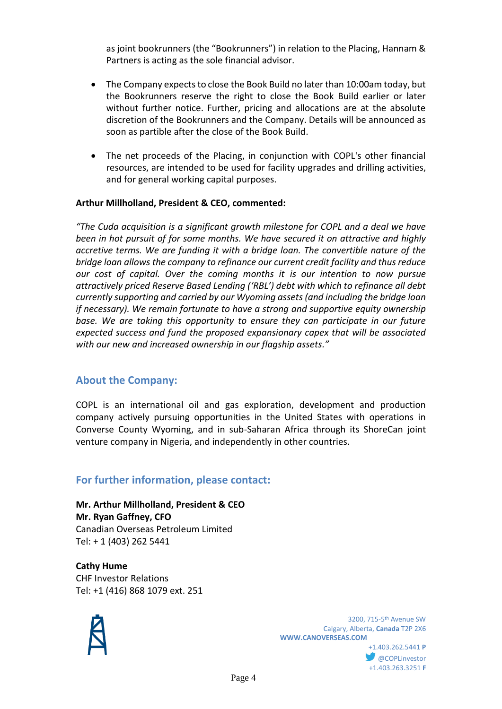as joint bookrunners (the "Bookrunners") in relation to the Placing, Hannam & Partners is acting as the sole financial advisor.

- The Company expects to close the Book Build no later than 10:00am today, but the Bookrunners reserve the right to close the Book Build earlier or later without further notice. Further, pricing and allocations are at the absolute discretion of the Bookrunners and the Company. Details will be announced as soon as partible after the close of the Book Build.
- The net proceeds of the Placing, in conjunction with COPL's other financial resources, are intended to be used for facility upgrades and drilling activities, and for general working capital purposes.

# **Arthur Millholland, President & CEO, commented:**

*"The Cuda acquisition is a significant growth milestone for COPL and a deal we have been in hot pursuit of for some months. We have secured it on attractive and highly accretive terms. We are funding it with a bridge loan. The convertible nature of the bridge loan allows the company to refinance our current credit facility and thus reduce our cost of capital. Over the coming months it is our intention to now pursue attractively priced Reserve Based Lending ('RBL') debt with which to refinance all debt currently supporting and carried by our Wyoming assets (and including the bridge loan if necessary). We remain fortunate to have a strong and supportive equity ownership base. We are taking this opportunity to ensure they can participate in our future expected success and fund the proposed expansionary capex that will be associated with our new and increased ownership in our flagship assets."*

# **About the Company:**

COPL is an international oil and gas exploration, development and production company actively pursuing opportunities in the United States with operations in Converse County Wyoming, and in sub-Saharan Africa through its ShoreCan joint venture company in Nigeria, and independently in other countries.

# **For further information, please contact:**

**Mr. Arthur Millholland, President & CEO Mr. Ryan Gaffney, CFO** Canadian Overseas Petroleum Limited Tel: + 1 (403) 262 5441

**Cathy Hume** CHF Investor Relations Tel: +1 (416) 868 1079 ext. 251



 $3200, 715-5$ <sup>th</sup> Avenue SW Calgary, Alberta, **Canada** T2P 2X6 **WWW.CANOVERSEAS.COM** +1.403.262.5441 **P**

**@COPLinvestor** +1.403.263.3251 **F**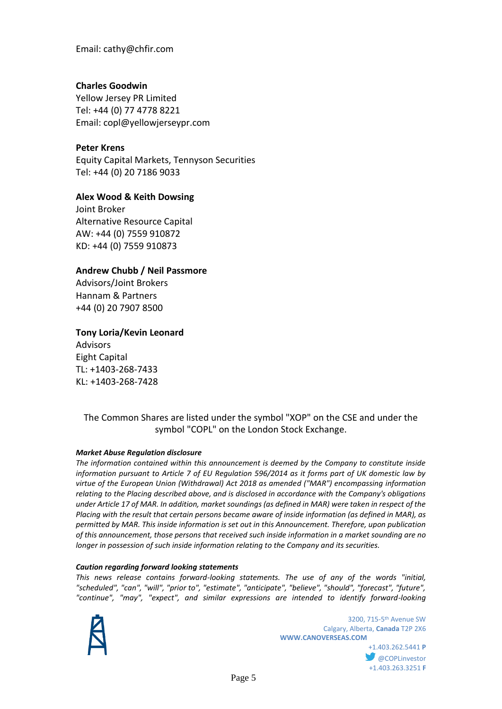Email: cathy@chfir.com

# **Charles Goodwin**

Yellow Jersey PR Limited Tel: +44 (0) 77 4778 8221 Email: copl@yellowjerseypr.com

## **Peter Krens**

Equity Capital Markets, Tennyson Securities Tel: +44 (0) 20 7186 9033

# **Alex Wood & Keith Dowsing**

Joint Broker Alternative Resource Capital AW: +44 (0) 7559 910872 KD: +44 (0) 7559 910873

### **Andrew Chubb / Neil Passmore**

Advisors/Joint Brokers Hannam & Partners +44 (0) 20 7907 8500

### **Tony Loria/Kevin Leonard**

Advisors Eight Capital TL: +1403-268-7433 KL: +1403-268-7428

# The Common Shares are listed under the symbol "XOP" on the CSE and under the symbol "COPL" on the London Stock Exchange.

#### *Market Abuse Regulation disclosure*

*The information contained within this announcement is deemed by the Company to constitute inside information pursuant to Article 7 of EU Regulation 596/2014 as it forms part of UK domestic law by virtue of the European Union (Withdrawal) Act 2018 as amended ("MAR") encompassing information relating to the Placing described above, and is disclosed in accordance with the Company's obligations under Article 17 of MAR. In addition, market soundings (as defined in MAR) were taken in respect of the Placing with the result that certain persons became aware of inside information (as defined in MAR), as permitted by MAR. This inside information is set out in this Announcement. Therefore, upon publication of this announcement, those persons that received such inside information in a market sounding are no longer in possession of such inside information relating to the Company and its securities.*

#### *Caution regarding forward looking statements*

*This news release contains forward-looking statements. The use of any of the words "initial, "scheduled", "can", "will", "prior to", "estimate", "anticipate", "believe", "should", "forecast", "future", "continue", "may", "expect", and similar expressions are intended to identify forward-looking* 

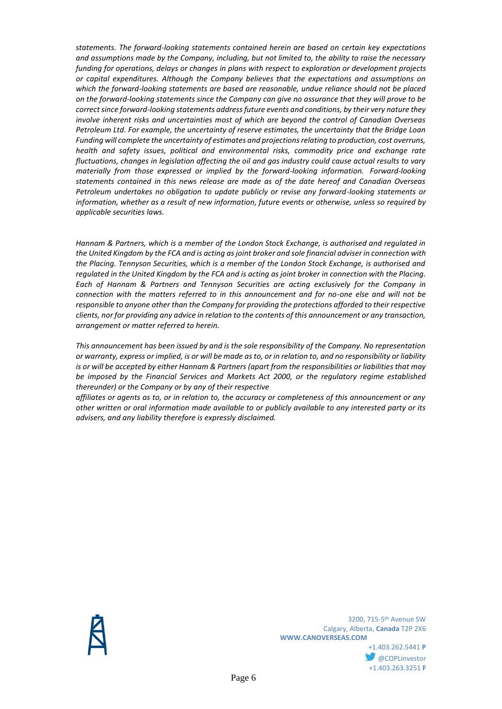*statements. The forward-looking statements contained herein are based on certain key expectations and assumptions made by the Company, including, but not limited to, the ability to raise the necessary funding for operations, delays or changes in plans with respect to exploration or development projects or capital expenditures. Although the Company believes that the expectations and assumptions on which the forward-looking statements are based are reasonable, undue reliance should not be placed on the forward-looking statements since the Company can give no assurance that they will prove to be correct since forward-looking statements address future events and conditions, by their very nature they involve inherent risks and uncertainties most of which are beyond the control of Canadian Overseas Petroleum Ltd. For example, the uncertainty of reserve estimates, the uncertainty that the Bridge Loan Funding will complete the uncertainty of estimates and projections relating to production, cost overruns, health and safety issues, political and environmental risks, commodity price and exchange rate fluctuations, changes in legislation affecting the oil and gas industry could cause actual results to vary materially from those expressed or implied by the forward-looking information. Forward-looking statements contained in this news release are made as of the date hereof and Canadian Overseas Petroleum undertakes no obligation to update publicly or revise any forward-looking statements or information, whether as a result of new information, future events or otherwise, unless so required by applicable securities laws.*

*Hannam & Partners, which is a member of the London Stock Exchange, is authorised and regulated in the United Kingdom by the FCA and is acting as joint broker and sole financial adviser in connection with the Placing. Tennyson Securities, which is a member of the London Stock Exchange, is authorised and regulated in the United Kingdom by the FCA and is acting as joint broker in connection with the Placing. Each of Hannam & Partners and Tennyson Securities are acting exclusively for the Company in connection with the matters referred to in this announcement and for no-one else and will not be responsible to anyone other than the Company for providing the protections afforded to their respective clients, nor for providing any advice in relation to the contents of this announcement or any transaction, arrangement or matter referred to herein.*

*This announcement has been issued by and is the sole responsibility of the Company. No representation or warranty, express or implied, is or will be made as to, or in relation to, and no responsibility or liability is or will be accepted by either Hannam & Partners (apart from the responsibilities or liabilities that may be imposed by the Financial Services and Markets Act 2000, or the regulatory regime established thereunder) or the Company or by any of their respective*

*affiliates or agents as to, or in relation to, the accuracy or completeness of this announcement or any other written or oral information made available to or publicly available to any interested party or its advisers, and any liability therefore is expressly disclaimed.*



 $3200, 715-5$ <sup>th</sup> Avenue SW Calgary, Alberta, **Canada** T2P 2X6 **WWW.CANOVERSEAS.COM** +1.403.262.5441 **P @COPLinvestor** 

+1.403.263.3251 **F**

Page 6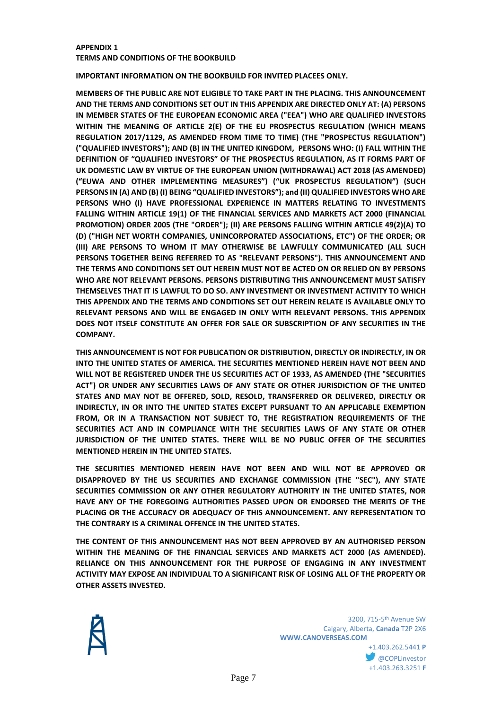#### **APPENDIX 1 TERMS AND CONDITIONS OF THE BOOKBUILD**

**IMPORTANT INFORMATION ON THE BOOKBUILD FOR INVITED PLACEES ONLY.**

**MEMBERS OF THE PUBLIC ARE NOT ELIGIBLE TO TAKE PART IN THE PLACING. THIS ANNOUNCEMENT AND THE TERMS AND CONDITIONS SET OUT IN THIS APPENDIX ARE DIRECTED ONLY AT: (A) PERSONS IN MEMBER STATES OF THE EUROPEAN ECONOMIC AREA ("EEA") WHO ARE QUALIFIED INVESTORS WITHIN THE MEANING OF ARTICLE 2(E) OF THE EU PROSPECTUS REGULATION (WHICH MEANS REGULATION 2017/1129, AS AMENDED FROM TIME TO TIME) (THE "PROSPECTUS REGULATION") ("QUALIFIED INVESTORS"); AND (B) IN THE UNITED KINGDOM, PERSONS WHO: (I) FALL WITHIN THE DEFINITION OF "QUALIFIED INVESTORS" OF THE PROSPECTUS REGULATION, AS IT FORMS PART OF UK DOMESTIC LAW BY VIRTUE OF THE EUROPEAN UNION (WITHDRAWAL) ACT 2018 (AS AMENDED) ("EUWA AND OTHER IMPLEMENTING MEASURES") ("UK PROSPECTUS REGULATION") (SUCH PERSONS IN (A) AND (B) (I) BEING "QUALIFIED INVESTORS"); and (II) QUALIFIED INVESTORS WHO ARE PERSONS WHO (I) HAVE PROFESSIONAL EXPERIENCE IN MATTERS RELATING TO INVESTMENTS FALLING WITHIN ARTICLE 19(1) OF THE FINANCIAL SERVICES AND MARKETS ACT 2000 (FINANCIAL PROMOTION) ORDER 2005 (THE "ORDER"); (II) ARE PERSONS FALLING WITHIN ARTICLE 49(2)(A) TO (D) ("HIGH NET WORTH COMPANIES, UNINCORPORATED ASSOCIATIONS, ETC") OF THE ORDER; OR (III) ARE PERSONS TO WHOM IT MAY OTHERWISE BE LAWFULLY COMMUNICATED (ALL SUCH PERSONS TOGETHER BEING REFERRED TO AS "RELEVANT PERSONS"). THIS ANNOUNCEMENT AND THE TERMS AND CONDITIONS SET OUT HEREIN MUST NOT BE ACTED ON OR RELIED ON BY PERSONS WHO ARE NOT RELEVANT PERSONS. PERSONS DISTRIBUTING THIS ANNOUNCEMENT MUST SATISFY THEMSELVES THAT IT IS LAWFUL TO DO SO. ANY INVESTMENT OR INVESTMENT ACTIVITY TO WHICH THIS APPENDIX AND THE TERMS AND CONDITIONS SET OUT HEREIN RELATE IS AVAILABLE ONLY TO RELEVANT PERSONS AND WILL BE ENGAGED IN ONLY WITH RELEVANT PERSONS. THIS APPENDIX DOES NOT ITSELF CONSTITUTE AN OFFER FOR SALE OR SUBSCRIPTION OF ANY SECURITIES IN THE COMPANY.**

**THIS ANNOUNCEMENT IS NOT FOR PUBLICATION OR DISTRIBUTION, DIRECTLY OR INDIRECTLY, IN OR INTO THE UNITED STATES OF AMERICA. THE SECURITIES MENTIONED HEREIN HAVE NOT BEEN AND WILL NOT BE REGISTERED UNDER THE US SECURITIES ACT OF 1933, AS AMENDED (THE "SECURITIES ACT") OR UNDER ANY SECURITIES LAWS OF ANY STATE OR OTHER JURISDICTION OF THE UNITED STATES AND MAY NOT BE OFFERED, SOLD, RESOLD, TRANSFERRED OR DELIVERED, DIRECTLY OR INDIRECTLY, IN OR INTO THE UNITED STATES EXCEPT PURSUANT TO AN APPLICABLE EXEMPTION FROM, OR IN A TRANSACTION NOT SUBJECT TO, THE REGISTRATION REQUIREMENTS OF THE SECURITIES ACT AND IN COMPLIANCE WITH THE SECURITIES LAWS OF ANY STATE OR OTHER JURISDICTION OF THE UNITED STATES. THERE WILL BE NO PUBLIC OFFER OF THE SECURITIES MENTIONED HEREIN IN THE UNITED STATES.**

**THE SECURITIES MENTIONED HEREIN HAVE NOT BEEN AND WILL NOT BE APPROVED OR DISAPPROVED BY THE US SECURITIES AND EXCHANGE COMMISSION (THE "SEC"), ANY STATE SECURITIES COMMISSION OR ANY OTHER REGULATORY AUTHORITY IN THE UNITED STATES, NOR HAVE ANY OF THE FOREGOING AUTHORITIES PASSED UPON OR ENDORSED THE MERITS OF THE PLACING OR THE ACCURACY OR ADEQUACY OF THIS ANNOUNCEMENT. ANY REPRESENTATION TO THE CONTRARY IS A CRIMINAL OFFENCE IN THE UNITED STATES.**

**THE CONTENT OF THIS ANNOUNCEMENT HAS NOT BEEN APPROVED BY AN AUTHORISED PERSON WITHIN THE MEANING OF THE FINANCIAL SERVICES AND MARKETS ACT 2000 (AS AMENDED). RELIANCE ON THIS ANNOUNCEMENT FOR THE PURPOSE OF ENGAGING IN ANY INVESTMENT ACTIVITY MAY EXPOSE AN INDIVIDUAL TO A SIGNIFICANT RISK OF LOSING ALL OF THE PROPERTY OR OTHER ASSETS INVESTED.** 

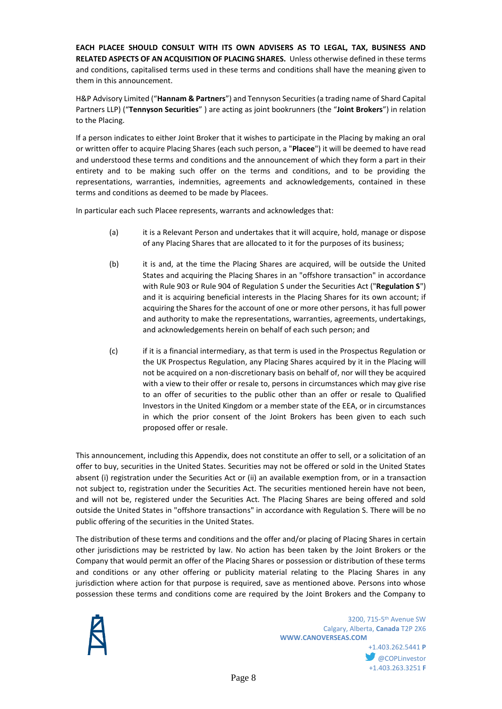**EACH PLACEE SHOULD CONSULT WITH ITS OWN ADVISERS AS TO LEGAL, TAX, BUSINESS AND RELATED ASPECTS OF AN ACQUISITION OF PLACING SHARES.** Unless otherwise defined in these terms and conditions, capitalised terms used in these terms and conditions shall have the meaning given to them in this announcement.

H&P Advisory Limited ("**Hannam & Partners**") and Tennyson Securities (a trading name of Shard Capital Partners LLP) ("**Tennyson Securities**" ) are acting as joint bookrunners (the "**Joint Brokers**") in relation to the Placing.

If a person indicates to either Joint Broker that it wishes to participate in the Placing by making an oral or written offer to acquire Placing Shares (each such person, a "**Placee**") it will be deemed to have read and understood these terms and conditions and the announcement of which they form a part in their entirety and to be making such offer on the terms and conditions, and to be providing the representations, warranties, indemnities, agreements and acknowledgements, contained in these terms and conditions as deemed to be made by Placees.

In particular each such Placee represents, warrants and acknowledges that:

- (a) it is a Relevant Person and undertakes that it will acquire, hold, manage or dispose of any Placing Shares that are allocated to it for the purposes of its business;
- (b) it is and, at the time the Placing Shares are acquired, will be outside the United States and acquiring the Placing Shares in an "offshore transaction" in accordance with Rule 903 or Rule 904 of Regulation S under the Securities Act ("**Regulation S**") and it is acquiring beneficial interests in the Placing Shares for its own account; if acquiring the Shares for the account of one or more other persons, it has full power and authority to make the representations, warranties, agreements, undertakings, and acknowledgements herein on behalf of each such person; and
- (c) if it is a financial intermediary, as that term is used in the Prospectus Regulation or the UK Prospectus Regulation, any Placing Shares acquired by it in the Placing will not be acquired on a non-discretionary basis on behalf of, nor will they be acquired with a view to their offer or resale to, persons in circumstances which may give rise to an offer of securities to the public other than an offer or resale to Qualified Investors in the United Kingdom or a member state of the EEA, or in circumstances in which the prior consent of the Joint Brokers has been given to each such proposed offer or resale.

This announcement, including this Appendix, does not constitute an offer to sell, or a solicitation of an offer to buy, securities in the United States. Securities may not be offered or sold in the United States absent (i) registration under the Securities Act or (ii) an available exemption from, or in a transaction not subject to, registration under the Securities Act. The securities mentioned herein have not been, and will not be, registered under the Securities Act. The Placing Shares are being offered and sold outside the United States in "offshore transactions" in accordance with Regulation S. There will be no public offering of the securities in the United States.

The distribution of these terms and conditions and the offer and/or placing of Placing Shares in certain other jurisdictions may be restricted by law. No action has been taken by the Joint Brokers or the Company that would permit an offer of the Placing Shares or possession or distribution of these terms and conditions or any other offering or publicity material relating to the Placing Shares in any jurisdiction where action for that purpose is required, save as mentioned above. Persons into whose possession these terms and conditions come are required by the Joint Brokers and the Company to

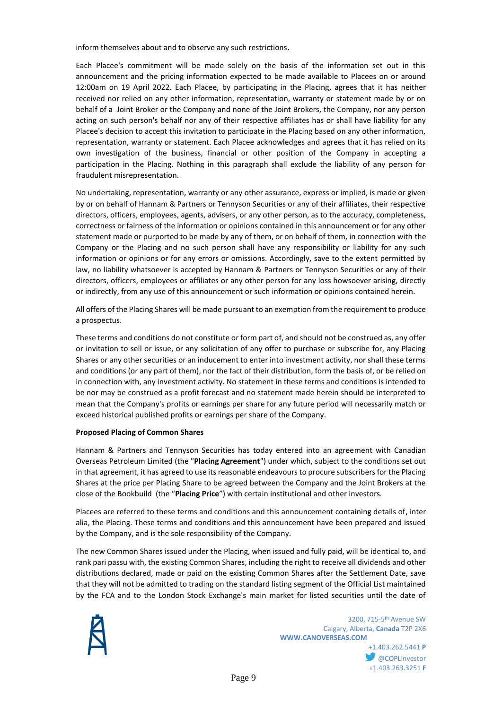inform themselves about and to observe any such restrictions.

Each Placee's commitment will be made solely on the basis of the information set out in this announcement and the pricing information expected to be made available to Placees on or around 12:00am on 19 April 2022. Each Placee, by participating in the Placing, agrees that it has neither received nor relied on any other information, representation, warranty or statement made by or on behalf of a Joint Broker or the Company and none of the Joint Brokers, the Company, nor any person acting on such person's behalf nor any of their respective affiliates has or shall have liability for any Placee's decision to accept this invitation to participate in the Placing based on any other information, representation, warranty or statement. Each Placee acknowledges and agrees that it has relied on its own investigation of the business, financial or other position of the Company in accepting a participation in the Placing. Nothing in this paragraph shall exclude the liability of any person for fraudulent misrepresentation.

No undertaking, representation, warranty or any other assurance, express or implied, is made or given by or on behalf of Hannam & Partners or Tennyson Securities or any of their affiliates, their respective directors, officers, employees, agents, advisers, or any other person, as to the accuracy, completeness, correctness or fairness of the information or opinions contained in this announcement or for any other statement made or purported to be made by any of them, or on behalf of them, in connection with the Company or the Placing and no such person shall have any responsibility or liability for any such information or opinions or for any errors or omissions. Accordingly, save to the extent permitted by law, no liability whatsoever is accepted by Hannam & Partners or Tennyson Securities or any of their directors, officers, employees or affiliates or any other person for any loss howsoever arising, directly or indirectly, from any use of this announcement or such information or opinions contained herein.

All offers of the Placing Shares will be made pursuant to an exemption from the requirement to produce a prospectus.

These terms and conditions do not constitute or form part of, and should not be construed as, any offer or invitation to sell or issue, or any solicitation of any offer to purchase or subscribe for, any Placing Shares or any other securities or an inducement to enter into investment activity, nor shall these terms and conditions (or any part of them), nor the fact of their distribution, form the basis of, or be relied on in connection with, any investment activity. No statement in these terms and conditions is intended to be nor may be construed as a profit forecast and no statement made herein should be interpreted to mean that the Company's profits or earnings per share for any future period will necessarily match or exceed historical published profits or earnings per share of the Company.

#### **Proposed Placing of Common Shares**

Hannam & Partners and Tennyson Securities has today entered into an agreement with Canadian Overseas Petroleum Limited (the "**Placing Agreement**") under which, subject to the conditions set out in that agreement, it has agreed to use its reasonable endeavours to procure subscribers for the Placing Shares at the price per Placing Share to be agreed between the Company and the Joint Brokers at the close of the Bookbuild (the "**Placing Price**") with certain institutional and other investors.

Placees are referred to these terms and conditions and this announcement containing details of, inter alia, the Placing. These terms and conditions and this announcement have been prepared and issued by the Company, and is the sole responsibility of the Company.

The new Common Shares issued under the Placing, when issued and fully paid, will be identical to, and rank pari passu with, the existing Common Shares, including the right to receive all dividends and other distributions declared, made or paid on the existing Common Shares after the Settlement Date, save that they will not be admitted to trading on the standard listing segment of the Official List maintained by the FCA and to the London Stock Exchange's main market for listed securities until the date of

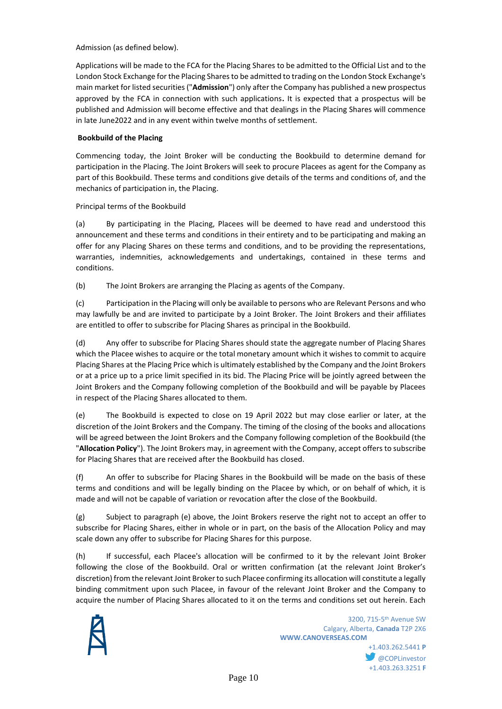#### Admission (as defined below).

Applications will be made to the FCA for the Placing Shares to be admitted to the Official List and to the London Stock Exchange for the Placing Shares to be admitted to trading on the London Stock Exchange's main market for listed securities ("**Admission**") only after the Company has published a new prospectus approved by the FCA in connection with such applications**.** It is expected that a prospectus will be published and Admission will become effective and that dealings in the Placing Shares will commence in late June2022 and in any event within twelve months of settlement.

#### **Bookbuild of the Placing**

Commencing today, the Joint Broker will be conducting the Bookbuild to determine demand for participation in the Placing. The Joint Brokers will seek to procure Placees as agent for the Company as part of this Bookbuild. These terms and conditions give details of the terms and conditions of, and the mechanics of participation in, the Placing.

Principal terms of the Bookbuild

(a) By participating in the Placing, Placees will be deemed to have read and understood this announcement and these terms and conditions in their entirety and to be participating and making an offer for any Placing Shares on these terms and conditions, and to be providing the representations, warranties, indemnities, acknowledgements and undertakings, contained in these terms and conditions.

(b) The Joint Brokers are arranging the Placing as agents of the Company.

(c) Participation in the Placing will only be available to persons who are Relevant Persons and who may lawfully be and are invited to participate by a Joint Broker. The Joint Brokers and their affiliates are entitled to offer to subscribe for Placing Shares as principal in the Bookbuild.

(d) Any offer to subscribe for Placing Shares should state the aggregate number of Placing Shares which the Placee wishes to acquire or the total monetary amount which it wishes to commit to acquire Placing Shares at the Placing Price which is ultimately established by the Company and the Joint Brokers or at a price up to a price limit specified in its bid. The Placing Price will be jointly agreed between the Joint Brokers and the Company following completion of the Bookbuild and will be payable by Placees in respect of the Placing Shares allocated to them.

(e) The Bookbuild is expected to close on 19 April 2022 but may close earlier or later, at the discretion of the Joint Brokers and the Company. The timing of the closing of the books and allocations will be agreed between the Joint Brokers and the Company following completion of the Bookbuild (the "**Allocation Policy**"). The Joint Brokers may, in agreement with the Company, accept offers to subscribe for Placing Shares that are received after the Bookbuild has closed.

(f) An offer to subscribe for Placing Shares in the Bookbuild will be made on the basis of these terms and conditions and will be legally binding on the Placee by which, or on behalf of which, it is made and will not be capable of variation or revocation after the close of the Bookbuild.

(g) Subject to paragraph (e) above, the Joint Brokers reserve the right not to accept an offer to subscribe for Placing Shares, either in whole or in part, on the basis of the Allocation Policy and may scale down any offer to subscribe for Placing Shares for this purpose.

(h) If successful, each Placee's allocation will be confirmed to it by the relevant Joint Broker following the close of the Bookbuild. Oral or written confirmation (at the relevant Joint Broker's discretion) from the relevant Joint Broker to such Placee confirming its allocation will constitute a legally binding commitment upon such Placee, in favour of the relevant Joint Broker and the Company to acquire the number of Placing Shares allocated to it on the terms and conditions set out herein. Each

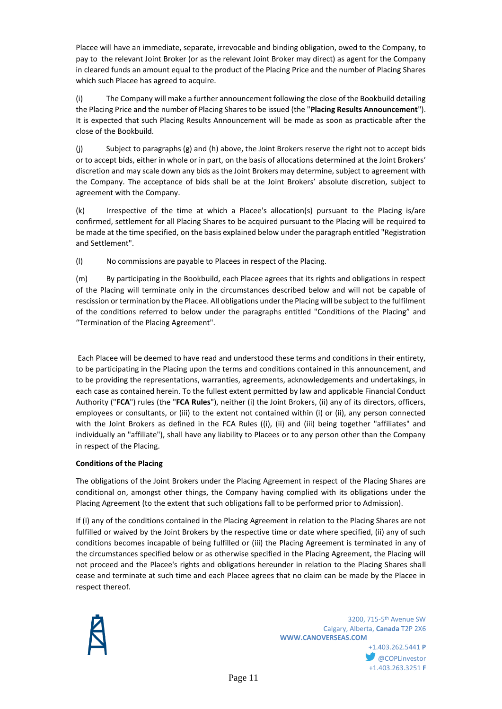Placee will have an immediate, separate, irrevocable and binding obligation, owed to the Company, to pay to the relevant Joint Broker (or as the relevant Joint Broker may direct) as agent for the Company in cleared funds an amount equal to the product of the Placing Price and the number of Placing Shares which such Placee has agreed to acquire.

(i) The Company will make a further announcement following the close of the Bookbuild detailing the Placing Price and the number of Placing Shares to be issued (the "**Placing Results Announcement**"). It is expected that such Placing Results Announcement will be made as soon as practicable after the close of the Bookbuild.

(j) Subject to paragraphs (g) and (h) above, the Joint Brokers reserve the right not to accept bids or to accept bids, either in whole or in part, on the basis of allocations determined at the Joint Brokers' discretion and may scale down any bids as the Joint Brokers may determine, subject to agreement with the Company. The acceptance of bids shall be at the Joint Brokers' absolute discretion, subject to agreement with the Company.

(k) Irrespective of the time at which a Placee's allocation(s) pursuant to the Placing is/are confirmed, settlement for all Placing Shares to be acquired pursuant to the Placing will be required to be made at the time specified, on the basis explained below under the paragraph entitled "Registration and Settlement".

(l) No commissions are payable to Placees in respect of the Placing.

(m) By participating in the Bookbuild, each Placee agrees that its rights and obligations in respect of the Placing will terminate only in the circumstances described below and will not be capable of rescission or termination by the Placee. All obligations under the Placing will be subject to the fulfilment of the conditions referred to below under the paragraphs entitled "Conditions of the Placing" and "Termination of the Placing Agreement".

Each Placee will be deemed to have read and understood these terms and conditions in their entirety, to be participating in the Placing upon the terms and conditions contained in this announcement, and to be providing the representations, warranties, agreements, acknowledgements and undertakings, in each case as contained herein. To the fullest extent permitted by law and applicable Financial Conduct Authority ("**FCA**") rules (the "**FCA Rules**"), neither (i) the Joint Brokers, (ii) any of its directors, officers, employees or consultants, or (iii) to the extent not contained within (i) or (ii), any person connected with the Joint Brokers as defined in the FCA Rules ((i), (ii) and (iii) being together "affiliates" and individually an "affiliate"), shall have any liability to Placees or to any person other than the Company in respect of the Placing.

#### **Conditions of the Placing**

The obligations of the Joint Brokers under the Placing Agreement in respect of the Placing Shares are conditional on, amongst other things, the Company having complied with its obligations under the Placing Agreement (to the extent that such obligations fall to be performed prior to Admission).

If (i) any of the conditions contained in the Placing Agreement in relation to the Placing Shares are not fulfilled or waived by the Joint Brokers by the respective time or date where specified, (ii) any of such conditions becomes incapable of being fulfilled or (iii) the Placing Agreement is terminated in any of the circumstances specified below or as otherwise specified in the Placing Agreement, the Placing will not proceed and the Placee's rights and obligations hereunder in relation to the Placing Shares shall cease and terminate at such time and each Placee agrees that no claim can be made by the Placee in respect thereof.

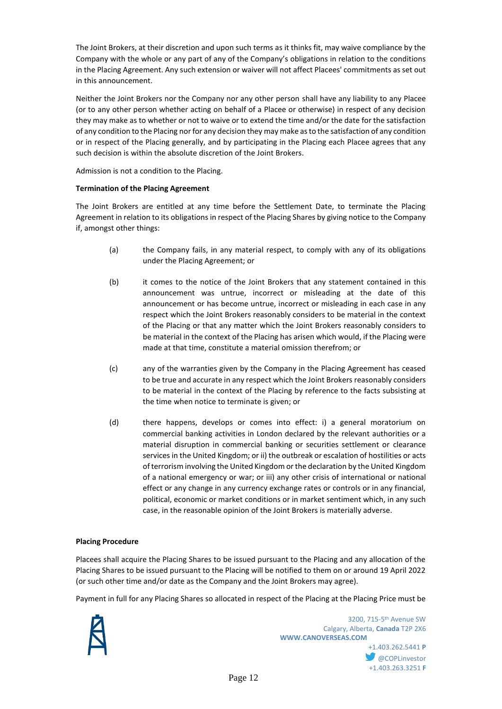The Joint Brokers, at their discretion and upon such terms as it thinks fit, may waive compliance by the Company with the whole or any part of any of the Company's obligations in relation to the conditions in the Placing Agreement. Any such extension or waiver will not affect Placees' commitments as set out in this announcement.

Neither the Joint Brokers nor the Company nor any other person shall have any liability to any Placee (or to any other person whether acting on behalf of a Placee or otherwise) in respect of any decision they may make as to whether or not to waive or to extend the time and/or the date for the satisfaction of any condition to the Placing nor for any decision they may make as to the satisfaction of any condition or in respect of the Placing generally, and by participating in the Placing each Placee agrees that any such decision is within the absolute discretion of the Joint Brokers.

Admission is not a condition to the Placing.

#### **Termination of the Placing Agreement**

The Joint Brokers are entitled at any time before the Settlement Date, to terminate the Placing Agreement in relation to its obligations in respect of the Placing Shares by giving notice to the Company if, amongst other things:

- (a) the Company fails, in any material respect, to comply with any of its obligations under the Placing Agreement; or
- (b) it comes to the notice of the Joint Brokers that any statement contained in this announcement was untrue, incorrect or misleading at the date of this announcement or has become untrue, incorrect or misleading in each case in any respect which the Joint Brokers reasonably considers to be material in the context of the Placing or that any matter which the Joint Brokers reasonably considers to be material in the context of the Placing has arisen which would, if the Placing were made at that time, constitute a material omission therefrom; or
- (c) any of the warranties given by the Company in the Placing Agreement has ceased to be true and accurate in any respect which the Joint Brokers reasonably considers to be material in the context of the Placing by reference to the facts subsisting at the time when notice to terminate is given; or
- (d) there happens, develops or comes into effect: i) a general moratorium on commercial banking activities in London declared by the relevant authorities or a material disruption in commercial banking or securities settlement or clearance services in the United Kingdom; or ii) the outbreak or escalation of hostilities or acts of terrorism involving the United Kingdom or the declaration by the United Kingdom of a national emergency or war; or iii) any other crisis of international or national effect or any change in any currency exchange rates or controls or in any financial, political, economic or market conditions or in market sentiment which, in any such case, in the reasonable opinion of the Joint Brokers is materially adverse.

#### **Placing Procedure**

Placees shall acquire the Placing Shares to be issued pursuant to the Placing and any allocation of the Placing Shares to be issued pursuant to the Placing will be notified to them on or around 19 April 2022 (or such other time and/or date as the Company and the Joint Brokers may agree).

Payment in full for any Placing Shares so allocated in respect of the Placing at the Placing Price must be



**@COPLinvestor** +1.403.263.3251 **F**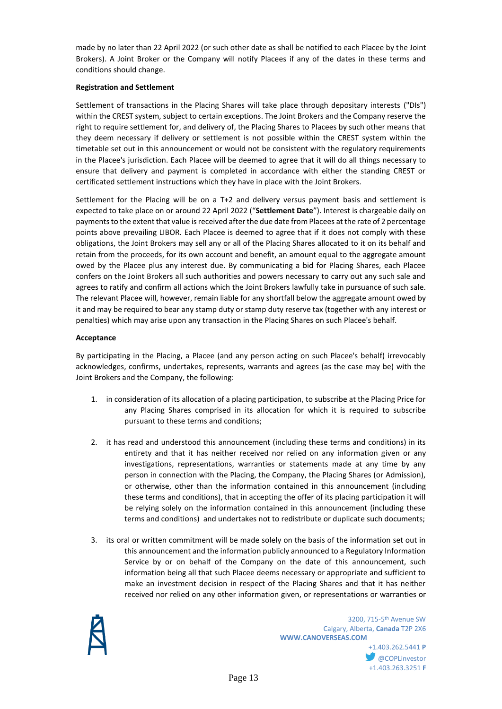made by no later than 22 April 2022 (or such other date as shall be notified to each Placee by the Joint Brokers). A Joint Broker or the Company will notify Placees if any of the dates in these terms and conditions should change.

#### **Registration and Settlement**

Settlement of transactions in the Placing Shares will take place through depositary interests ("DIs") within the CREST system, subject to certain exceptions. The Joint Brokers and the Company reserve the right to require settlement for, and delivery of, the Placing Shares to Placees by such other means that they deem necessary if delivery or settlement is not possible within the CREST system within the timetable set out in this announcement or would not be consistent with the regulatory requirements in the Placee's jurisdiction. Each Placee will be deemed to agree that it will do all things necessary to ensure that delivery and payment is completed in accordance with either the standing CREST or certificated settlement instructions which they have in place with the Joint Brokers.

Settlement for the Placing will be on a T+2 and delivery versus payment basis and settlement is expected to take place on or around 22 April 2022 ("**Settlement Date**"). Interest is chargeable daily on payments to the extent that value is received after the due date from Placees at the rate of 2 percentage points above prevailing LIBOR. Each Placee is deemed to agree that if it does not comply with these obligations, the Joint Brokers may sell any or all of the Placing Shares allocated to it on its behalf and retain from the proceeds, for its own account and benefit, an amount equal to the aggregate amount owed by the Placee plus any interest due. By communicating a bid for Placing Shares, each Placee confers on the Joint Brokers all such authorities and powers necessary to carry out any such sale and agrees to ratify and confirm all actions which the Joint Brokers lawfully take in pursuance of such sale. The relevant Placee will, however, remain liable for any shortfall below the aggregate amount owed by it and may be required to bear any stamp duty or stamp duty reserve tax (together with any interest or penalties) which may arise upon any transaction in the Placing Shares on such Placee's behalf.

#### **Acceptance**

By participating in the Placing, a Placee (and any person acting on such Placee's behalf) irrevocably acknowledges, confirms, undertakes, represents, warrants and agrees (as the case may be) with the Joint Brokers and the Company, the following:

- 1. in consideration of its allocation of a placing participation, to subscribe at the Placing Price for any Placing Shares comprised in its allocation for which it is required to subscribe pursuant to these terms and conditions;
- 2. it has read and understood this announcement (including these terms and conditions) in its entirety and that it has neither received nor relied on any information given or any investigations, representations, warranties or statements made at any time by any person in connection with the Placing, the Company, the Placing Shares (or Admission), or otherwise, other than the information contained in this announcement (including these terms and conditions), that in accepting the offer of its placing participation it will be relying solely on the information contained in this announcement (including these terms and conditions) and undertakes not to redistribute or duplicate such documents;
- 3. its oral or written commitment will be made solely on the basis of the information set out in this announcement and the information publicly announced to a Regulatory Information Service by or on behalf of the Company on the date of this announcement, such information being all that such Placee deems necessary or appropriate and sufficient to make an investment decision in respect of the Placing Shares and that it has neither received nor relied on any other information given, or representations or warranties or

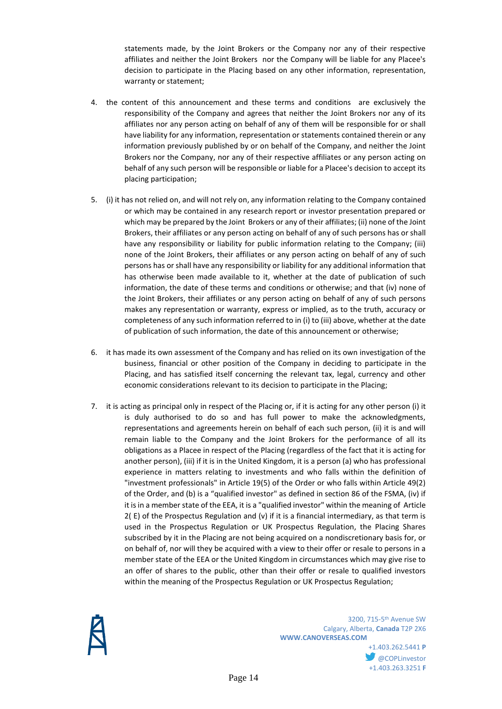statements made, by the Joint Brokers or the Company nor any of their respective affiliates and neither the Joint Brokers nor the Company will be liable for any Placee's decision to participate in the Placing based on any other information, representation, warranty or statement;

- 4. the content of this announcement and these terms and conditions are exclusively the responsibility of the Company and agrees that neither the Joint Brokers nor any of its affiliates nor any person acting on behalf of any of them will be responsible for or shall have liability for any information, representation or statements contained therein or any information previously published by or on behalf of the Company, and neither the Joint Brokers nor the Company, nor any of their respective affiliates or any person acting on behalf of any such person will be responsible or liable for a Placee's decision to accept its placing participation;
- 5. (i) it has not relied on, and will not rely on, any information relating to the Company contained or which may be contained in any research report or investor presentation prepared or which may be prepared by the Joint Brokers or any of their affiliates; (ii) none of the Joint Brokers, their affiliates or any person acting on behalf of any of such persons has or shall have any responsibility or liability for public information relating to the Company; (iii) none of the Joint Brokers, their affiliates or any person acting on behalf of any of such persons has or shall have any responsibility or liability for any additional information that has otherwise been made available to it, whether at the date of publication of such information, the date of these terms and conditions or otherwise; and that (iv) none of the Joint Brokers, their affiliates or any person acting on behalf of any of such persons makes any representation or warranty, express or implied, as to the truth, accuracy or completeness of any such information referred to in (i) to (iii) above, whether at the date of publication of such information, the date of this announcement or otherwise;
- 6. it has made its own assessment of the Company and has relied on its own investigation of the business, financial or other position of the Company in deciding to participate in the Placing, and has satisfied itself concerning the relevant tax, legal, currency and other economic considerations relevant to its decision to participate in the Placing;
- 7. it is acting as principal only in respect of the Placing or, if it is acting for any other person (i) it is duly authorised to do so and has full power to make the acknowledgments, representations and agreements herein on behalf of each such person, (ii) it is and will remain liable to the Company and the Joint Brokers for the performance of all its obligations as a Placee in respect of the Placing (regardless of the fact that it is acting for another person), (iii) if it is in the United Kingdom, it is a person (a) who has professional experience in matters relating to investments and who falls within the definition of "investment professionals" in Article 19(5) of the Order or who falls within Article 49(2) of the Order, and (b) is a "qualified investor" as defined in section 86 of the FSMA, (iv) if it is in a member state of the EEA, it is a "qualified investor" within the meaning of Article  $2(F)$  of the Prospectus Regulation and (v) if it is a financial intermediary, as that term is used in the Prospectus Regulation or UK Prospectus Regulation, the Placing Shares subscribed by it in the Placing are not being acquired on a nondiscretionary basis for, or on behalf of, nor will they be acquired with a view to their offer or resale to persons in a member state of the EEA or the United Kingdom in circumstances which may give rise to an offer of shares to the public, other than their offer or resale to qualified investors within the meaning of the Prospectus Regulation or UK Prospectus Regulation;

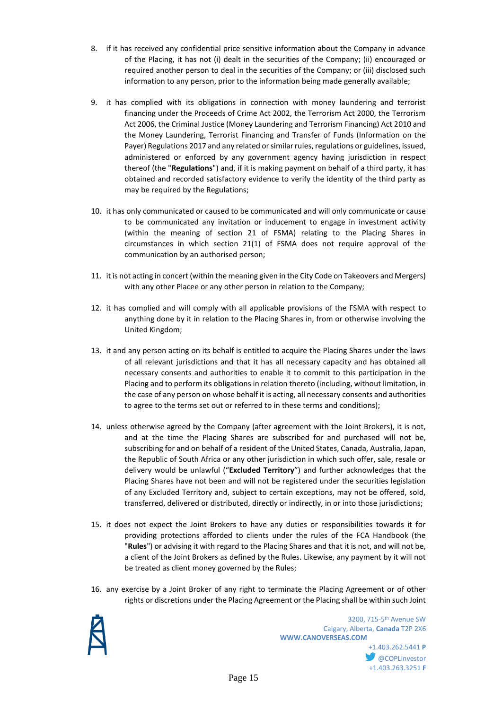- 8. if it has received any confidential price sensitive information about the Company in advance of the Placing, it has not (i) dealt in the securities of the Company; (ii) encouraged or required another person to deal in the securities of the Company; or (iii) disclosed such information to any person, prior to the information being made generally available;
- 9. it has complied with its obligations in connection with money laundering and terrorist financing under the Proceeds of Crime Act 2002, the Terrorism Act 2000, the Terrorism Act 2006, the Criminal Justice (Money Laundering and Terrorism Financing) Act 2010 and the Money Laundering, Terrorist Financing and Transfer of Funds (Information on the Payer) Regulations 2017 and any related or similar rules, regulations or guidelines, issued, administered or enforced by any government agency having jurisdiction in respect thereof (the "**Regulations**") and, if it is making payment on behalf of a third party, it has obtained and recorded satisfactory evidence to verify the identity of the third party as may be required by the Regulations;
- 10. it has only communicated or caused to be communicated and will only communicate or cause to be communicated any invitation or inducement to engage in investment activity (within the meaning of section 21 of FSMA) relating to the Placing Shares in circumstances in which section 21(1) of FSMA does not require approval of the communication by an authorised person;
- 11. it is not acting in concert (within the meaning given in the City Code on Takeovers and Mergers) with any other Placee or any other person in relation to the Company;
- 12. it has complied and will comply with all applicable provisions of the FSMA with respect to anything done by it in relation to the Placing Shares in, from or otherwise involving the United Kingdom;
- 13. it and any person acting on its behalf is entitled to acquire the Placing Shares under the laws of all relevant jurisdictions and that it has all necessary capacity and has obtained all necessary consents and authorities to enable it to commit to this participation in the Placing and to perform its obligations in relation thereto (including, without limitation, in the case of any person on whose behalf it is acting, all necessary consents and authorities to agree to the terms set out or referred to in these terms and conditions);
- 14. unless otherwise agreed by the Company (after agreement with the Joint Brokers), it is not, and at the time the Placing Shares are subscribed for and purchased will not be, subscribing for and on behalf of a resident of the United States, Canada, Australia, Japan, the Republic of South Africa or any other jurisdiction in which such offer, sale, resale or delivery would be unlawful ("**Excluded Territory**") and further acknowledges that the Placing Shares have not been and will not be registered under the securities legislation of any Excluded Territory and, subject to certain exceptions, may not be offered, sold, transferred, delivered or distributed, directly or indirectly, in or into those jurisdictions;
- 15. it does not expect the Joint Brokers to have any duties or responsibilities towards it for providing protections afforded to clients under the rules of the FCA Handbook (the "**Rules**") or advising it with regard to the Placing Shares and that it is not, and will not be, a client of the Joint Brokers as defined by the Rules. Likewise, any payment by it will not be treated as client money governed by the Rules;
- 16. any exercise by a Joint Broker of any right to terminate the Placing Agreement or of other rights or discretions under the Placing Agreement or the Placing shall be within such Joint



**W** @COPLinvestor +1.403.263.3251 **F**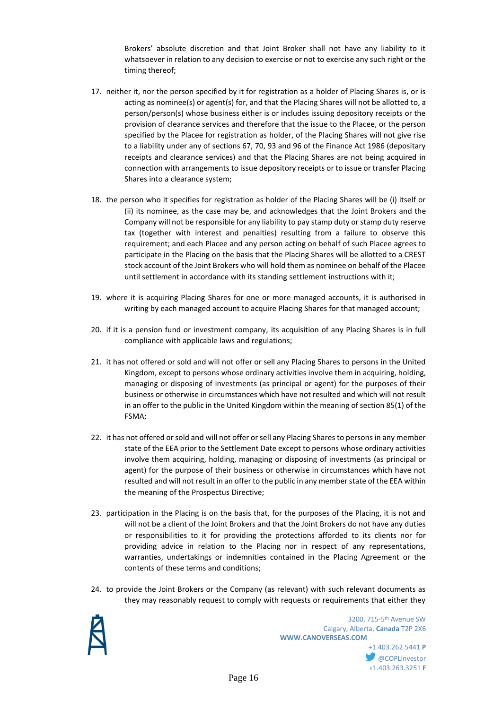Brokers' absolute discretion and that Joint Broker shall not have any liability to it whatsoever in relation to any decision to exercise or not to exercise any such right or the timing thereof;

- 17. neither it, nor the person specified by it for registration as a holder of Placing Shares is, or is acting as nominee(s) or agent(s) for, and that the Placing Shares will not be allotted to, a person/person(s) whose business either is or includes issuing depository receipts or the provision of clearance services and therefore that the issue to the Placee, or the person specified by the Placee for registration as holder, of the Placing Shares will not give rise to a liability under any of sections 67, 70, 93 and 96 of the Finance Act 1986 (depositary receipts and clearance services) and that the Placing Shares are not being acquired in connection with arrangements to issue depository receipts or to issue or transfer Placing Shares into a clearance system;
- 18. the person who it specifies for registration as holder of the Placing Shares will be (i) itself or (ii) its nominee, as the case may be, and acknowledges that the Joint Brokers and the Company will not be responsible for any liability to pay stamp duty or stamp duty reserve tax (together with interest and penalties) resulting from a failure to observe this requirement; and each Placee and any person acting on behalf of such Placee agrees to participate in the Placing on the basis that the Placing Shares will be allotted to a CREST stock account of the Joint Brokers who will hold them as nominee on behalf of the Placee until settlement in accordance with its standing settlement instructions with it;
- 19. where it is acquiring Placing Shares for one or more managed accounts, it is authorised in writing by each managed account to acquire Placing Shares for that managed account;
- 20. if it is a pension fund or investment company, its acquisition of any Placing Shares is in full compliance with applicable laws and regulations;
- 21. it has not offered or sold and will not offer or sell any Placing Shares to persons in the United Kingdom, except to persons whose ordinary activities involve them in acquiring, holding, managing or disposing of investments (as principal or agent) for the purposes of their business or otherwise in circumstances which have not resulted and which will not result in an offer to the public in the United Kingdom within the meaning of section 85(1) of the FSMA;
- 22. it has not offered or sold and will not offer or sell any Placing Shares to persons in any member state of the EEA prior to the Settlement Date except to persons whose ordinary activities involve them acquiring, holding, managing or disposing of investments (as principal or agent) for the purpose of their business or otherwise in circumstances which have not resulted and will not result in an offer to the public in any member state of the EEA within the meaning of the Prospectus Directive;
- 23. participation in the Placing is on the basis that, for the purposes of the Placing, it is not and will not be a client of the Joint Brokers and that the Joint Brokers do not have any duties or responsibilities to it for providing the protections afforded to its clients nor for providing advice in relation to the Placing nor in respect of any representations, warranties, undertakings or indemnities contained in the Placing Agreement or the contents of these terms and conditions;
- 24. to provide the Joint Brokers or the Company (as relevant) with such relevant documents as they may reasonably request to comply with requests or requirements that either they



**W** @COPLinvestor +1.403.263.3251 **F**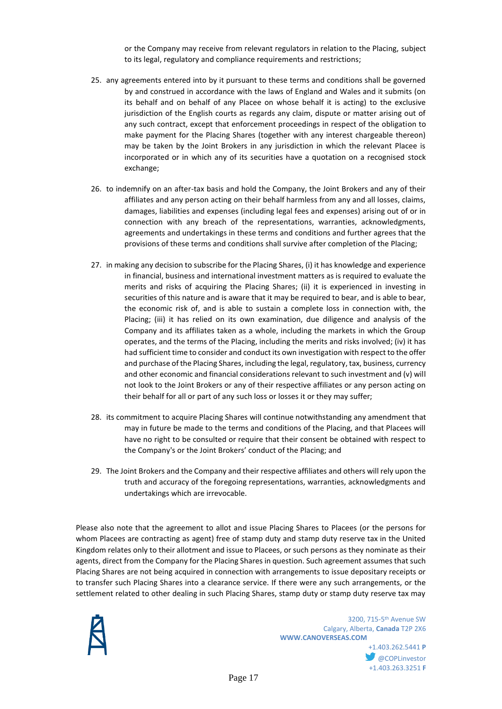or the Company may receive from relevant regulators in relation to the Placing, subject to its legal, regulatory and compliance requirements and restrictions;

- 25. any agreements entered into by it pursuant to these terms and conditions shall be governed by and construed in accordance with the laws of England and Wales and it submits (on its behalf and on behalf of any Placee on whose behalf it is acting) to the exclusive jurisdiction of the English courts as regards any claim, dispute or matter arising out of any such contract, except that enforcement proceedings in respect of the obligation to make payment for the Placing Shares (together with any interest chargeable thereon) may be taken by the Joint Brokers in any jurisdiction in which the relevant Placee is incorporated or in which any of its securities have a quotation on a recognised stock exchange;
- 26. to indemnify on an after-tax basis and hold the Company, the Joint Brokers and any of their affiliates and any person acting on their behalf harmless from any and all losses, claims, damages, liabilities and expenses (including legal fees and expenses) arising out of or in connection with any breach of the representations, warranties, acknowledgments, agreements and undertakings in these terms and conditions and further agrees that the provisions of these terms and conditions shall survive after completion of the Placing;
- 27. in making any decision to subscribe for the Placing Shares, (i) it has knowledge and experience in financial, business and international investment matters as is required to evaluate the merits and risks of acquiring the Placing Shares; (ii) it is experienced in investing in securities of this nature and is aware that it may be required to bear, and is able to bear, the economic risk of, and is able to sustain a complete loss in connection with, the Placing; (iii) it has relied on its own examination, due diligence and analysis of the Company and its affiliates taken as a whole, including the markets in which the Group operates, and the terms of the Placing, including the merits and risks involved; (iv) it has had sufficient time to consider and conduct its own investigation with respect to the offer and purchase of the Placing Shares, including the legal, regulatory, tax, business, currency and other economic and financial considerations relevant to such investment and (v) will not look to the Joint Brokers or any of their respective affiliates or any person acting on their behalf for all or part of any such loss or losses it or they may suffer;
- 28. its commitment to acquire Placing Shares will continue notwithstanding any amendment that may in future be made to the terms and conditions of the Placing, and that Placees will have no right to be consulted or require that their consent be obtained with respect to the Company's or the Joint Brokers' conduct of the Placing; and
- 29. The Joint Brokers and the Company and their respective affiliates and others will rely upon the truth and accuracy of the foregoing representations, warranties, acknowledgments and undertakings which are irrevocable.

Please also note that the agreement to allot and issue Placing Shares to Placees (or the persons for whom Placees are contracting as agent) free of stamp duty and stamp duty reserve tax in the United Kingdom relates only to their allotment and issue to Placees, or such persons as they nominate as their agents, direct from the Company for the Placing Shares in question. Such agreement assumes that such Placing Shares are not being acquired in connection with arrangements to issue depositary receipts or to transfer such Placing Shares into a clearance service. If there were any such arrangements, or the settlement related to other dealing in such Placing Shares, stamp duty or stamp duty reserve tax may

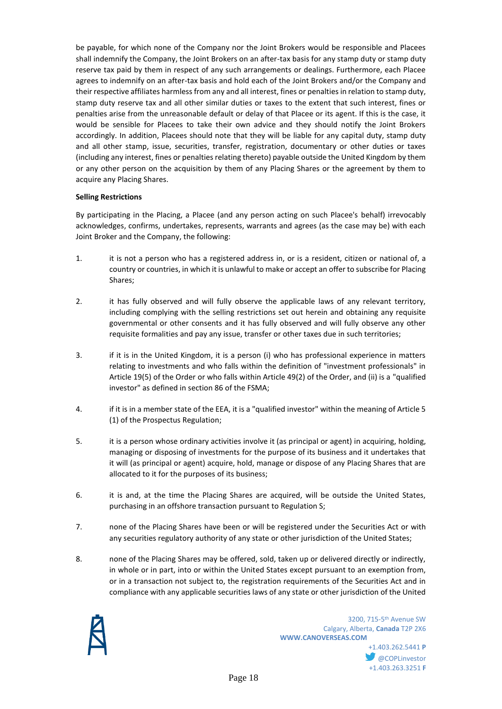be payable, for which none of the Company nor the Joint Brokers would be responsible and Placees shall indemnify the Company, the Joint Brokers on an after-tax basis for any stamp duty or stamp duty reserve tax paid by them in respect of any such arrangements or dealings. Furthermore, each Placee agrees to indemnify on an after-tax basis and hold each of the Joint Brokers and/or the Company and their respective affiliates harmless from any and all interest, fines or penalties in relation to stamp duty, stamp duty reserve tax and all other similar duties or taxes to the extent that such interest, fines or penalties arise from the unreasonable default or delay of that Placee or its agent. If this is the case, it would be sensible for Placees to take their own advice and they should notify the Joint Brokers accordingly. In addition, Placees should note that they will be liable for any capital duty, stamp duty and all other stamp, issue, securities, transfer, registration, documentary or other duties or taxes (including any interest, fines or penalties relating thereto) payable outside the United Kingdom by them or any other person on the acquisition by them of any Placing Shares or the agreement by them to acquire any Placing Shares.

#### **Selling Restrictions**

By participating in the Placing, a Placee (and any person acting on such Placee's behalf) irrevocably acknowledges, confirms, undertakes, represents, warrants and agrees (as the case may be) with each Joint Broker and the Company, the following:

- 1. it is not a person who has a registered address in, or is a resident, citizen or national of, a country or countries, in which it is unlawful to make or accept an offer to subscribe for Placing Shares;
- 2. it has fully observed and will fully observe the applicable laws of any relevant territory, including complying with the selling restrictions set out herein and obtaining any requisite governmental or other consents and it has fully observed and will fully observe any other requisite formalities and pay any issue, transfer or other taxes due in such territories;
- 3. if it is in the United Kingdom, it is a person (i) who has professional experience in matters relating to investments and who falls within the definition of "investment professionals" in Article 19(5) of the Order or who falls within Article 49(2) of the Order, and (ii) is a "qualified investor" as defined in section 86 of the FSMA;
- 4. if it is in a member state of the EEA, it is a "qualified investor" within the meaning of Article 5 (1) of the Prospectus Regulation;
- 5. it is a person whose ordinary activities involve it (as principal or agent) in acquiring, holding, managing or disposing of investments for the purpose of its business and it undertakes that it will (as principal or agent) acquire, hold, manage or dispose of any Placing Shares that are allocated to it for the purposes of its business;
- 6. it is and, at the time the Placing Shares are acquired, will be outside the United States, purchasing in an offshore transaction pursuant to Regulation S;
- 7. none of the Placing Shares have been or will be registered under the Securities Act or with any securities regulatory authority of any state or other jurisdiction of the United States;
- 8. none of the Placing Shares may be offered, sold, taken up or delivered directly or indirectly, in whole or in part, into or within the United States except pursuant to an exemption from, or in a transaction not subject to, the registration requirements of the Securities Act and in compliance with any applicable securities laws of any state or other jurisdiction of the United



**W** @COPLinvestor +1.403.263.3251 **F**